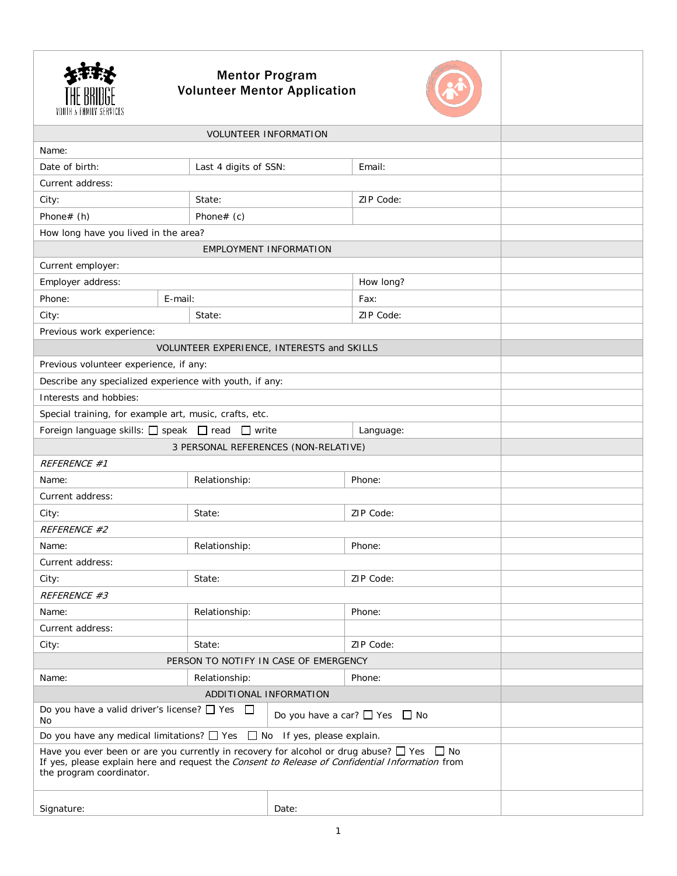| <b>Volunteer Mentor Application</b>                                                                                                                                                                                                |                                       |       |           |  |  |
|------------------------------------------------------------------------------------------------------------------------------------------------------------------------------------------------------------------------------------|---------------------------------------|-------|-----------|--|--|
| <b>VOLUNTEER INFORMATION</b>                                                                                                                                                                                                       |                                       |       |           |  |  |
| Name:                                                                                                                                                                                                                              |                                       |       |           |  |  |
| Date of birth:                                                                                                                                                                                                                     | Last 4 digits of SSN:                 |       | Email:    |  |  |
| Current address:                                                                                                                                                                                                                   |                                       |       |           |  |  |
| City:                                                                                                                                                                                                                              | State:                                |       | ZIP Code: |  |  |
| Phone# (h)                                                                                                                                                                                                                         | Phone# $(c)$                          |       |           |  |  |
| How long have you lived in the area?                                                                                                                                                                                               |                                       |       |           |  |  |
| EMPLOYMENT INFORMATION                                                                                                                                                                                                             |                                       |       |           |  |  |
| Current employer:                                                                                                                                                                                                                  |                                       |       |           |  |  |
| Employer address:                                                                                                                                                                                                                  |                                       |       | How long? |  |  |
| Phone:<br>E-mail:                                                                                                                                                                                                                  |                                       |       | Fax:      |  |  |
| City:                                                                                                                                                                                                                              | State:                                |       | ZIP Code: |  |  |
| Previous work experience:                                                                                                                                                                                                          |                                       |       |           |  |  |
| VOLUNTEER EXPERIENCE, INTERESTS and SKILLS                                                                                                                                                                                         |                                       |       |           |  |  |
| Previous volunteer experience, if any:                                                                                                                                                                                             |                                       |       |           |  |  |
| Describe any specialized experience with youth, if any:                                                                                                                                                                            |                                       |       |           |  |  |
| Interests and hobbies:                                                                                                                                                                                                             |                                       |       |           |  |  |
| Special training, for example art, music, crafts, etc.                                                                                                                                                                             |                                       |       |           |  |  |
| Foreign language skills: □ speak □ read □ write<br>Language:                                                                                                                                                                       |                                       |       |           |  |  |
| 3 PERSONAL REFERENCES (NON-RELATIVE)                                                                                                                                                                                               |                                       |       |           |  |  |
| REFERENCE #1                                                                                                                                                                                                                       |                                       |       |           |  |  |
| Name:                                                                                                                                                                                                                              | Relationship:                         |       | Phone:    |  |  |
| Current address:                                                                                                                                                                                                                   |                                       |       |           |  |  |
| City:                                                                                                                                                                                                                              | State:                                |       | ZIP Code: |  |  |
| REFERENCE #2                                                                                                                                                                                                                       |                                       |       |           |  |  |
| Name:                                                                                                                                                                                                                              | Relationship:                         |       | Phone:    |  |  |
| Current address:                                                                                                                                                                                                                   |                                       |       |           |  |  |
| City:                                                                                                                                                                                                                              | State:                                |       | ZIP Code: |  |  |
| REFERENCE #3                                                                                                                                                                                                                       |                                       |       |           |  |  |
| Name:                                                                                                                                                                                                                              | Relationship:                         |       | Phone:    |  |  |
| Current address:                                                                                                                                                                                                                   |                                       |       |           |  |  |
| City:                                                                                                                                                                                                                              | State:                                |       | ZIP Code: |  |  |
|                                                                                                                                                                                                                                    | PERSON TO NOTIFY IN CASE OF EMERGENCY |       |           |  |  |
| Name:                                                                                                                                                                                                                              | Relationship:                         |       | Phone:    |  |  |
|                                                                                                                                                                                                                                    | ADDITIONAL INFORMATION                |       |           |  |  |
| Do you have a valid driver's license? $\Box$ Yes<br>$\Box$<br>Do you have a car? $\Box$ Yes $\Box$ No<br>No                                                                                                                        |                                       |       |           |  |  |
| Do you have any medical limitations? $\Box$ Yes $\Box$ No If yes, please explain.                                                                                                                                                  |                                       |       |           |  |  |
| Have you ever been or are you currently in recovery for alcohol or drug abuse? $\Box$ Yes $\Box$ No<br>If yes, please explain here and request the Consent to Release of Confidential Information from<br>the program coordinator. |                                       |       |           |  |  |
| Signature:                                                                                                                                                                                                                         |                                       | Date: |           |  |  |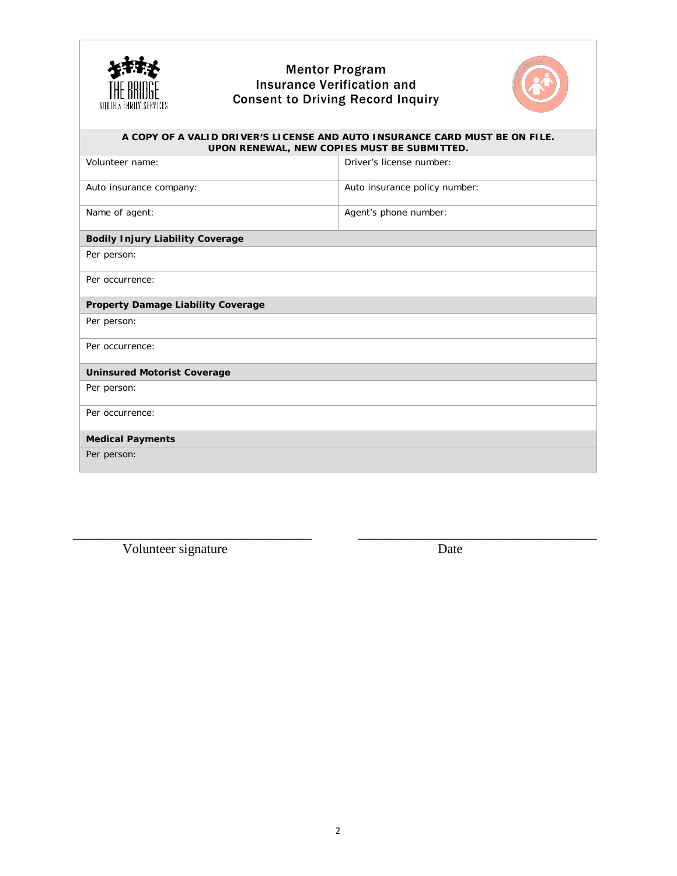

## Mentor Program Insurance Verification and Consent to Driving Record Inquiry



| A COPY OF A VALID DRIVER'S LICENSE AND AUTO INSURANCE CARD MUST BE ON FILE.<br>UPON RENEWAL, NEW COPIES MUST BE SUBMITTED. |                               |  |  |  |
|----------------------------------------------------------------------------------------------------------------------------|-------------------------------|--|--|--|
| Volunteer name:                                                                                                            | Driver's license number:      |  |  |  |
| Auto insurance company:                                                                                                    | Auto insurance policy number: |  |  |  |
| Name of agent:                                                                                                             | Agent's phone number:         |  |  |  |
| <b>Bodily Injury Liability Coverage</b>                                                                                    |                               |  |  |  |
| Per person:                                                                                                                |                               |  |  |  |
| Per occurrence:                                                                                                            |                               |  |  |  |
| Property Damage Liability Coverage                                                                                         |                               |  |  |  |
| Per person:                                                                                                                |                               |  |  |  |
| Per occurrence:                                                                                                            |                               |  |  |  |
| <b>Uninsured Motorist Coverage</b>                                                                                         |                               |  |  |  |
| Per person:                                                                                                                |                               |  |  |  |
| Per occurrence:                                                                                                            |                               |  |  |  |
| <b>Medical Payments</b>                                                                                                    |                               |  |  |  |
| Per person:                                                                                                                |                               |  |  |  |

 $\overline{\phantom{a}}$  , and the contract of the contract of the contract of the contract of the contract of the contract of the contract of the contract of the contract of the contract of the contract of the contract of the contrac

Volunteer signature Date